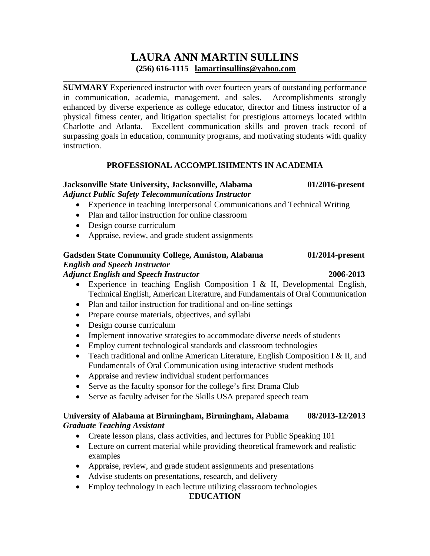# **LAURA ANN MARTIN SULLINS (256) 616-1115 [lamartinsullins@yahoo.com](mailto:lamartinsullins@yahoo.com)**

\_\_\_\_\_\_\_\_\_\_\_\_\_\_\_\_\_\_\_\_\_\_\_\_\_\_\_\_\_\_\_\_\_\_\_\_\_\_\_\_\_\_\_\_\_\_\_\_\_\_\_\_\_\_\_\_\_\_\_\_\_\_\_\_\_\_\_\_\_\_\_\_

**SUMMARY** Experienced instructor with over fourteen years of outstanding performance in communication, academia, management, and sales. Accomplishments strongly enhanced by diverse experience as college educator, director and fitness instructor of a physical fitness center, and litigation specialist for prestigious attorneys located within Charlotte and Atlanta. Excellent communication skills and proven track record of surpassing goals in education, community programs, and motivating students with quality instruction.

## **PROFESSIONAL ACCOMPLISHMENTS IN ACADEMIA**

#### **Jacksonville State University, Jacksonville, Alabama 01/2016-present** *Adjunct Public Safety Telecommunications Instructor*

- Experience in teaching Interpersonal Communications and Technical Writing
- Plan and tailor instruction for online classroom
- Design course curriculum
- Appraise, review, and grade student assignments

## **Gadsden State Community College, Anniston, Alabama 01/2014-present** *English and Speech Instructor Adjunct English and Speech Instructor* **2006-2013**

- Experience in teaching English Composition I & II, Developmental English, Technical English, American Literature, and Fundamentals of Oral Communication
- Plan and tailor instruction for traditional and on-line settings
- Prepare course materials, objectives, and syllabi
- Design course curriculum
- Implement innovative strategies to accommodate diverse needs of students
- Employ current technological standards and classroom technologies
- Teach traditional and online American Literature, English Composition I & II, and Fundamentals of Oral Communication using interactive student methods
- Appraise and review individual student performances
- Serve as the faculty sponsor for the college's first Drama Club
- Serve as faculty adviser for the Skills USA prepared speech team

## **University of Alabama at Birmingham, Birmingham, Alabama 08/2013-12/2013** *Graduate Teaching Assistant*

- Create lesson plans, class activities, and lectures for Public Speaking 101
- Lecture on current material while providing theoretical framework and realistic examples
- Appraise, review, and grade student assignments and presentations
- Advise students on presentations, research, and delivery
- Employ technology in each lecture utilizing classroom technologies

## **EDUCATION**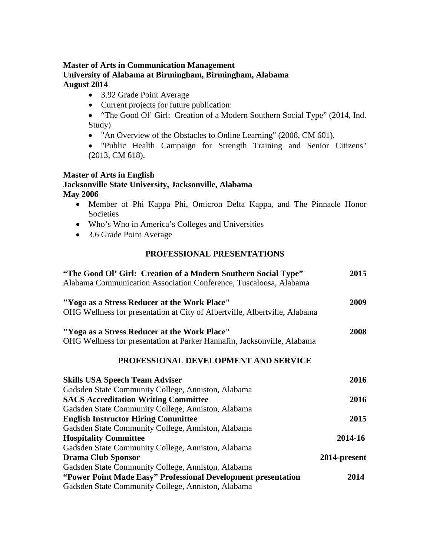## **Master of Arts in Communication Management University of Alabama at Birmingham, Birmingham, Alabama August 2014**

- 3.92 Grade Point Average
- Current projects for future publication:
- "The Good Ol' Girl: Creation of a Modern Southern Social Type" (2014, Ind. Study)
- "An Overview of the Obstacles to Online Learning" (2008, CM 601),
- "Public Health Campaign for Strength Training and Senior Citizens" (2013, CM 618),

## **Master of Arts in English**

## **Jacksonville State University, Jacksonville, Alabama May 2006**

- Member of Phi Kappa Phi, Omicron Delta Kappa, and The Pinnacle Honor Societies
- Who's Who in America's Colleges and Universities
- 3.6 Grade Point Average

## **PROFESSIONAL PRESENTATIONS**

| "The Good Ol' Girl: Creation of a Modern Southern Social Type"<br>Alabama Communication Association Conference, Tuscaloosa, Alabama | 2015         |
|-------------------------------------------------------------------------------------------------------------------------------------|--------------|
| "Yoga as a Stress Reducer at the Work Place"                                                                                        | 2009         |
| OHG Wellness for presentation at City of Albertville, Albertville, Alabama                                                          |              |
| "Yoga as a Stress Reducer at the Work Place"                                                                                        | 2008         |
| OHG Wellness for presentation at Parker Hannafin, Jacksonville, Alabama                                                             |              |
| PROFESSIONAL DEVELOPMENT AND SERVICE                                                                                                |              |
| <b>Skills USA Speech Team Adviser</b>                                                                                               | 2016         |
| Gadsden State Community College, Anniston, Alabama                                                                                  |              |
| <b>SACS Accreditation Writing Committee</b>                                                                                         | 2016         |
| Gadsden State Community College, Anniston, Alabama                                                                                  |              |
| <b>English Instructor Hiring Committee</b>                                                                                          | 2015         |
| Gadsden State Community College, Anniston, Alabama                                                                                  |              |
| <b>Hospitality Committee</b>                                                                                                        | 2014-16      |
| Gadsden State Community College, Anniston, Alabama                                                                                  |              |
| <b>Drama Club Sponsor</b>                                                                                                           | 2014-present |
| Gadsden State Community College, Anniston, Alabama                                                                                  |              |
| "Power Point Made Easy" Professional Development presentation                                                                       | 2014         |
| Gadsden State Community College, Anniston, Alabama                                                                                  |              |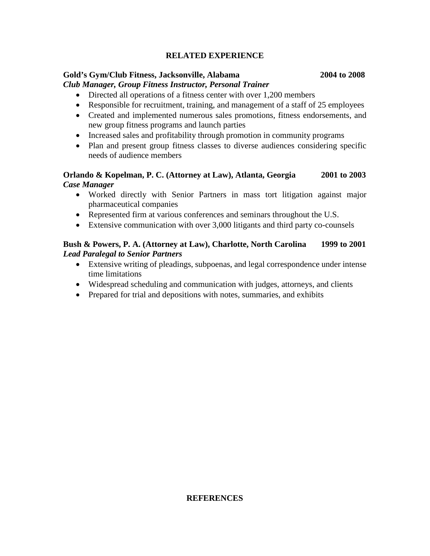## **RELATED EXPERIENCE**

### **Gold's Gym/Club Fitness, Jacksonville, Alabama 2004 to 2008**

### *Club Manager, Group Fitness Instructor, Personal Trainer*

- Directed all operations of a fitness center with over 1,200 members
- Responsible for recruitment, training, and management of a staff of 25 employees
- Created and implemented numerous sales promotions, fitness endorsements, and new group fitness programs and launch parties
- Increased sales and profitability through promotion in community programs
- Plan and present group fitness classes to diverse audiences considering specific needs of audience members

### **Orlando & Kopelman, P. C. (Attorney at Law), Atlanta, Georgia 2001 to 2003** *Case Manager*

- Worked directly with Senior Partners in mass tort litigation against major pharmaceutical companies
- Represented firm at various conferences and seminars throughout the U.S.
- Extensive communication with over 3,000 litigants and third party co-counsels

## **Bush & Powers, P. A. (Attorney at Law), Charlotte, North Carolina 1999 to 2001** *Lead Paralegal to Senior Partners*

- Extensive writing of pleadings, subpoenas, and legal correspondence under intense time limitations
- Widespread scheduling and communication with judges, attorneys, and clients
- Prepared for trial and depositions with notes, summaries, and exhibits

#### **REFERENCES**